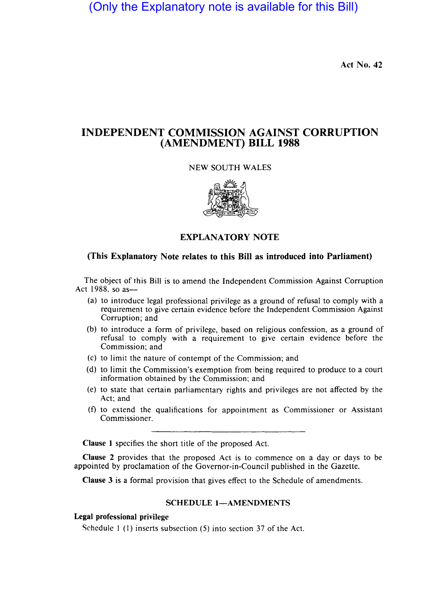(Only the Explanatory note is available for this Bill)

Act No. 42

# INDEPENDENT COMMISSION AGAINST CORRUPTION (AMENDMENT) BILL 1988

## NEW SOUTH WALES



# EXPLANATORY NOTE

# (This Explanatory Note relates to this Bill as introduced into Parliament)

The object of this Bill is to amend the Independent Commission Against Corruption Act 1988, so as-

- (a) to introduce legal professional privilege as a ground of refusal to comply with a requirement to give certain evidence before the Independent Commission Against Corruption; and
- (b) to introduce a form of privilege, based on religious confession, as a ground of refusal to comply with a requirement to give certain evidence before the Commission; and
- (c) to limit the nature of contempt of the Commission; and
- (d) to limit the Commission's exemption from being required to produce to a court information obtained by the Commission; and
- (e) to state that certain parliamentary rights and privileges are not affected by the Act; and
- $(f)$  to extend the qualifications for appointment as Commissioner or Assistant Commissioner.

Clause I specifies the short title of the proposed Act.

Clause 2 provides that the proposed Act is to commence on a day or days to be appointed by proclamation of the Governor-in-Council published in the Gazette.

Clause 3 is a formal provision that gives effect to the Schedule of amendments.

# SCHEDULE 1-AMENDMENTS

### Legal professional privilege

Schedule I (I) inserts subsection (5) into section 37 of the Act.